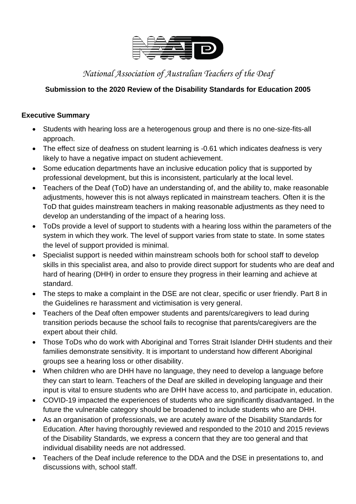

# *National Association of Australian Teachers of the Deaf*

# **Submission to the 2020 Review of the Disability Standards for Education 2005**

### **Executive Summary**

- Students with hearing loss are a heterogenous group and there is no one-size-fits-all approach.
- The effect size of deafness on student learning is -0.61 which indicates deafness is very likely to have a negative impact on student achievement.
- Some education departments have an inclusive education policy that is supported by professional development, but this is inconsistent, particularly at the local level.
- Teachers of the Deaf (ToD) have an understanding of, and the ability to, make reasonable adjustments, however this is not always replicated in mainstream teachers. Often it is the ToD that guides mainstream teachers in making reasonable adjustments as they need to develop an understanding of the impact of a hearing loss.
- ToDs provide a level of support to students with a hearing loss within the parameters of the system in which they work. The level of support varies from state to state. In some states the level of support provided is minimal.
- Specialist support is needed within mainstream schools both for school staff to develop skills in this specialist area, and also to provide direct support for students who are deaf and hard of hearing (DHH) in order to ensure they progress in their learning and achieve at standard.
- The steps to make a complaint in the DSE are not clear, specific or user friendly. Part 8 in the Guidelines re harassment and victimisation is very general.
- Teachers of the Deaf often empower students and parents/caregivers to lead during transition periods because the school fails to recognise that parents/caregivers are the expert about their child.
- Those ToDs who do work with Aboriginal and Torres Strait Islander DHH students and their families demonstrate sensitivity. It is important to understand how different Aboriginal groups see a hearing loss or other disability.
- When children who are DHH have no language, they need to develop a language before they can start to learn. Teachers of the Deaf are skilled in developing language and their input is vital to ensure students who are DHH have access to, and participate in, education.
- COVID-19 impacted the experiences of students who are significantly disadvantaged. In the future the vulnerable category should be broadened to include students who are DHH.
- As an organisation of professionals, we are acutely aware of the Disability Standards for Education. After having thoroughly reviewed and responded to the 2010 and 2015 reviews of the Disability Standards, we express a concern that they are too general and that individual disability needs are not addressed.
- Teachers of the Deaf include reference to the DDA and the DSE in presentations to, and discussions with, school staff.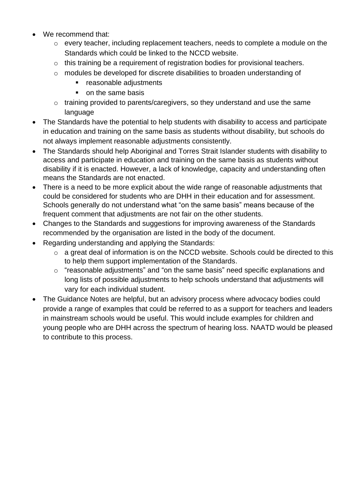- We recommend that:
	- o every teacher, including replacement teachers, needs to complete a module on the Standards which could be linked to the NCCD website.
	- o this training be a requirement of registration bodies for provisional teachers.
	- o modules be developed for discrete disabilities to broaden understanding of
		- reasonable adjustments
		- on the same basis
	- o training provided to parents/caregivers, so they understand and use the same language
- The Standards have the potential to help students with disability to access and participate in education and training on the same basis as students without disability, but schools do not always implement reasonable adjustments consistently.
- The Standards should help Aboriginal and Torres Strait Islander students with disability to access and participate in education and training on the same basis as students without disability if it is enacted. However, a lack of knowledge, capacity and understanding often means the Standards are not enacted.
- There is a need to be more explicit about the wide range of reasonable adjustments that could be considered for students who are DHH in their education and for assessment. Schools generally do not understand what "on the same basis" means because of the frequent comment that adjustments are not fair on the other students.
- Changes to the Standards and suggestions for improving awareness of the Standards recommended by the organisation are listed in the body of the document.
- Regarding understanding and applying the Standards:
	- o a great deal of information is on the NCCD website. Schools could be directed to this to help them support implementation of the Standards.
	- o "reasonable adjustments" and "on the same basis" need specific explanations and long lists of possible adjustments to help schools understand that adjustments will vary for each individual student.
- The Guidance Notes are helpful, but an advisory process where advocacy bodies could provide a range of examples that could be referred to as a support for teachers and leaders in mainstream schools would be useful. This would include examples for children and young people who are DHH across the spectrum of hearing loss. NAATD would be pleased to contribute to this process.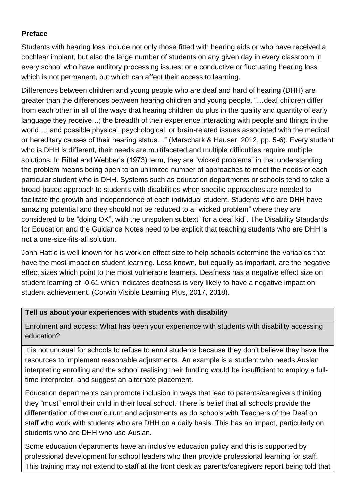### **Preface**

Students with hearing loss include not only those fitted with hearing aids or who have received a cochlear implant, but also the large number of students on any given day in every classroom in every school who have auditory processing issues, or a conductive or fluctuating hearing loss which is not permanent, but which can affect their access to learning.

Differences between children and young people who are deaf and hard of hearing (DHH) are greater than the differences between hearing children and young people. "…deaf children differ from each other in all of the ways that hearing children do plus in the quality and quantity of early language they receive…; the breadth of their experience interacting with people and things in the world…; and possible physical, psychological, or brain-related issues associated with the medical or hereditary causes of their hearing status…" (Marschark & Hauser, 2012, pp. 5-6). Every student who is DHH is different, their needs are multifaceted and multiple difficulties require multiple solutions. In Rittel and Webber's (1973) term, they are "wicked problems" in that understanding the problem means being open to an unlimited number of approaches to meet the needs of each particular student who is DHH. Systems such as education departments or schools tend to take a broad-based approach to students with disabilities when specific approaches are needed to facilitate the growth and independence of each individual student. Students who are DHH have amazing potential and they should not be reduced to a "wicked problem" where they are considered to be "doing OK", with the unspoken subtext "for a deaf kid". The Disability Standards for Education and the Guidance Notes need to be explicit that teaching students who are DHH is not a one-size-fits-all solution.

John Hattie is well known for his work on effect size to help schools determine the variables that have the most impact on student learning. Less known, but equally as important, are the negative effect sizes which point to the most vulnerable learners. Deafness has a negative effect size on student learning of -0.61 which indicates deafness is very likely to have a negative impact on student achievement. (Corwin Visible Learning Plus, 2017, 2018).

#### **Tell us about your experiences with students with disability**

Enrolment and access: What has been your experience with students with disability accessing education?

It is not unusual for schools to refuse to enrol students because they don't believe they have the resources to implement reasonable adjustments. An example is a student who needs Auslan interpreting enrolling and the school realising their funding would be insufficient to employ a fulltime interpreter, and suggest an alternate placement.

Education departments can promote inclusion in ways that lead to parents/caregivers thinking they "must" enrol their child in their local school. There is belief that all schools provide the differentiation of the curriculum and adjustments as do schools with Teachers of the Deaf on staff who work with students who are DHH on a daily basis. This has an impact, particularly on students who are DHH who use Auslan.

Some education departments have an inclusive education policy and this is supported by professional development for school leaders who then provide professional learning for staff. This training may not extend to staff at the front desk as parents/caregivers report being told that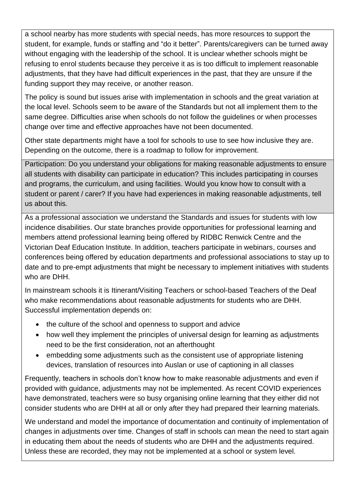a school nearby has more students with special needs, has more resources to support the student, for example, funds or staffing and "do it better". Parents/caregivers can be turned away without engaging with the leadership of the school. It is unclear whether schools might be refusing to enrol students because they perceive it as is too difficult to implement reasonable adjustments, that they have had difficult experiences in the past, that they are unsure if the funding support they may receive, or another reason.

The policy is sound but issues arise with implementation in schools and the great variation at the local level. Schools seem to be aware of the Standards but not all implement them to the same degree. Difficulties arise when schools do not follow the guidelines or when processes change over time and effective approaches have not been documented.

Other state departments might have a tool for schools to use to see how inclusive they are. Depending on the outcome, there is a roadmap to follow for improvement.

Participation: Do you understand your obligations for making reasonable adjustments to ensure all students with disability can participate in education? This includes participating in courses and programs, the curriculum, and using facilities. Would you know how to consult with a student or parent / carer? If you have had experiences in making reasonable adjustments, tell us about this.

As a professional association we understand the Standards and issues for students with low incidence disabilities. Our state branches provide opportunities for professional learning and members attend professional learning being offered by RIDBC Renwick Centre and the Victorian Deaf Education Institute. In addition, teachers participate in webinars, courses and conferences being offered by education departments and professional associations to stay up to date and to pre-empt adjustments that might be necessary to implement initiatives with students who are DHH.

In mainstream schools it is Itinerant/Visiting Teachers or school-based Teachers of the Deaf who make recommendations about reasonable adjustments for students who are DHH. Successful implementation depends on:

- the culture of the school and openness to support and advice
- how well they implement the principles of universal design for learning as adjustments need to be the first consideration, not an afterthought
- embedding some adjustments such as the consistent use of appropriate listening devices, translation of resources into Auslan or use of captioning in all classes

Frequently, teachers in schools don't know how to make reasonable adjustments and even if provided with guidance, adjustments may not be implemented. As recent COVID experiences have demonstrated, teachers were so busy organising online learning that they either did not consider students who are DHH at all or only after they had prepared their learning materials.

We understand and model the importance of documentation and continuity of implementation of changes in adjustments over time. Changes of staff in schools can mean the need to start again in educating them about the needs of students who are DHH and the adjustments required. Unless these are recorded, they may not be implemented at a school or system level.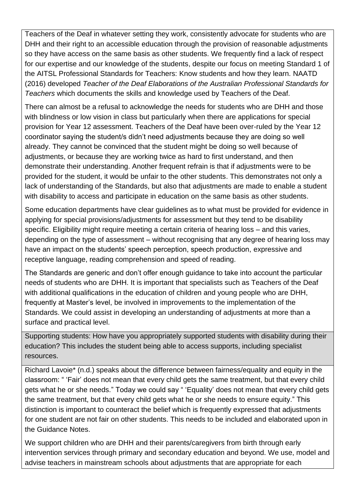Teachers of the Deaf in whatever setting they work, consistently advocate for students who are DHH and their right to an accessible education through the provision of reasonable adjustments so they have access on the same basis as other students. We frequently find a lack of respect for our expertise and our knowledge of the students, despite our focus on meeting Standard 1 of the AITSL Professional Standards for Teachers: Know students and how they learn. NAATD (2016) developed *Teacher of the Deaf Elaborations of the Australian Professional Standards for Teachers* which documents the skills and knowledge used by Teachers of the Deaf.

There can almost be a refusal to acknowledge the needs for students who are DHH and those with blindness or low vision in class but particularly when there are applications for special provision for Year 12 assessment. Teachers of the Deaf have been over-ruled by the Year 12 coordinator saying the student/s didn't need adjustments because they are doing so well already. They cannot be convinced that the student might be doing so well because of adjustments, or because they are working twice as hard to first understand, and then demonstrate their understanding. Another frequent refrain is that if adjustments were to be provided for the student, it would be unfair to the other students. This demonstrates not only a lack of understanding of the Standards, but also that adjustments are made to enable a student with disability to access and participate in education on the same basis as other students.

Some education departments have clear guidelines as to what must be provided for evidence in applying for special provisions/adjustments for assessment but they tend to be disability specific. Eligibility might require meeting a certain criteria of hearing loss – and this varies, depending on the type of assessment – without recognising that any degree of hearing loss may have an impact on the students' speech perception, speech production, expressive and receptive language, reading comprehension and speed of reading.

The Standards are generic and don't offer enough guidance to take into account the particular needs of students who are DHH. It is important that specialists such as Teachers of the Deaf with additional qualifications in the education of children and young people who are DHH, frequently at Master's level, be involved in improvements to the implementation of the Standards. We could assist in developing an understanding of adjustments at more than a surface and practical level.

Supporting students: How have you appropriately supported students with disability during their education? This includes the student being able to access supports, including specialist resources.

Richard Lavoie\* (n.d.) speaks about the difference between fairness/equality and equity in the classroom: " 'Fair' does not mean that every child gets the same treatment, but that every child gets what he or she needs." Today we could say " 'Equality' does not mean that every child gets the same treatment, but that every child gets what he or she needs to ensure equity." This distinction is important to counteract the belief which is frequently expressed that adjustments for one student are not fair on other students. This needs to be included and elaborated upon in the Guidance Notes.

We support children who are DHH and their parents/caregivers from birth through early intervention services through primary and secondary education and beyond. We use, model and advise teachers in mainstream schools about adjustments that are appropriate for each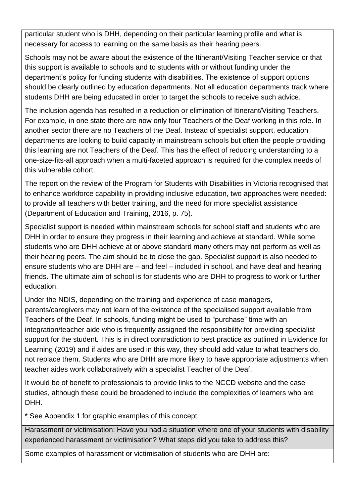particular student who is DHH, depending on their particular learning profile and what is necessary for access to learning on the same basis as their hearing peers.

Schools may not be aware about the existence of the Itinerant/Visiting Teacher service or that this support is available to schools and to students with or without funding under the department's policy for funding students with disabilities. The existence of support options should be clearly outlined by education departments. Not all education departments track where students DHH are being educated in order to target the schools to receive such advice.

The inclusion agenda has resulted in a reduction or elimination of Itinerant/Visiting Teachers. For example, in one state there are now only four Teachers of the Deaf working in this role. In another sector there are no Teachers of the Deaf. Instead of specialist support, education departments are looking to build capacity in mainstream schools but often the people providing this learning are not Teachers of the Deaf. This has the effect of reducing understanding to a one-size-fits-all approach when a multi-faceted approach is required for the complex needs of this vulnerable cohort.

The report on the review of the Program for Students with Disabilities in Victoria recognised that to enhance workforce capability in providing inclusive education, two approaches were needed: to provide all teachers with better training, and the need for more specialist assistance (Department of Education and Training, 2016, p. 75).

Specialist support is needed within mainstream schools for school staff and students who are DHH in order to ensure they progress in their learning and achieve at standard. While some students who are DHH achieve at or above standard many others may not perform as well as their hearing peers. The aim should be to close the gap. Specialist support is also needed to ensure students who are DHH are – and feel – included in school, and have deaf and hearing friends. The ultimate aim of school is for students who are DHH to progress to work or further education.

Under the NDIS, depending on the training and experience of case managers, parents/caregivers may not learn of the existence of the specialised support available from Teachers of the Deaf. In schools, funding might be used to "purchase" time with an integration/teacher aide who is frequently assigned the responsibility for providing specialist support for the student. This is in direct contradiction to best practice as outlined in Evidence for Learning (2019) and if aides are used in this way, they should add value to what teachers do, not replace them. Students who are DHH are more likely to have appropriate adjustments when teacher aides work collaboratively with a specialist Teacher of the Deaf.

It would be of benefit to professionals to provide links to the NCCD website and the case studies, although these could be broadened to include the complexities of learners who are DHH.

\* See Appendix 1 for graphic examples of this concept.

Harassment or victimisation: Have you had a situation where one of your students with disability experienced harassment or victimisation? What steps did you take to address this?

Some examples of harassment or victimisation of students who are DHH are: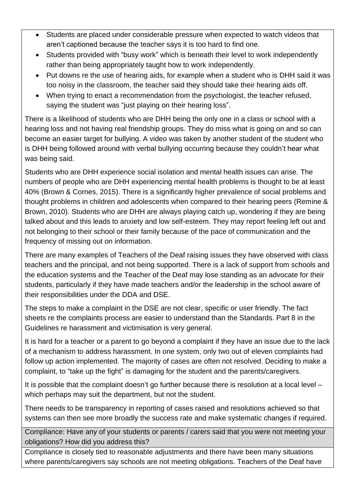- Students are placed under considerable pressure when expected to watch videos that aren't captioned because the teacher says it is too hard to find one.
- Students provided with "busy work" which is beneath their level to work independently rather than being appropriately taught how to work independently.
- Put downs re the use of hearing aids, for example when a student who is DHH said it was too noisy in the classroom, the teacher said they should take their hearing aids off.
- When trying to enact a recommendation from the psychologist, the teacher refused, saying the student was "just playing on their hearing loss".

There is a likelihood of students who are DHH being the only one in a class or school with a hearing loss and not having real friendship groups. They do miss what is going on and so can become an easier target for bullying. A video was taken by another student of the student who is DHH being followed around with verbal bullying occurring because they couldn't hear what was being said.

Students who are DHH experience social isolation and mental health issues can arise. The numbers of people who are DHH experiencing mental health problems is thought to be at least 40% (Brown & Cornes, 2015). There is a significantly higher prevalence of social problems and thought problems in children and adolescents when compared to their hearing peers (Remine & Brown, 2010). Students who are DHH are always playing catch up, wondering if they are being talked about and this leads to anxiety and low self-esteem. They may report feeling left out and not belonging to their school or their family because of the pace of communication and the frequency of missing out on information.

There are many examples of Teachers of the Deaf raising issues they have observed with class teachers and the principal, and not being supported. There is a lack of support from schools and the education systems and the Teacher of the Deaf may lose standing as an advocate for their students, particularly if they have made teachers and/or the leadership in the school aware of their responsibilities under the DDA and DSE.

The steps to make a complaint in the DSE are not clear, specific or user friendly. The fact sheets re the complaints process are easier to understand than the Standards. Part 8 in the Guidelines re harassment and victimisation is very general.

It is hard for a teacher or a parent to go beyond a complaint if they have an issue due to the lack of a mechanism to address harassment. In one system, only two out of eleven complaints had follow up action implemented. The majority of cases are often not resolved. Deciding to make a complaint, to "take up the fight" is damaging for the student and the parents/caregivers.

It is possible that the complaint doesn't go further because there is resolution at a local level – which perhaps may suit the department, but not the student.

There needs to be transparency in reporting of cases raised and resolutions achieved so that systems can then see more broadly the success rate and make systematic changes if required.

Compliance: Have any of your students or parents / carers said that you were not meeting your obligations? How did you address this?

Compliance is closely tied to reasonable adjustments and there have been many situations where parents/caregivers say schools are not meeting obligations. Teachers of the Deaf have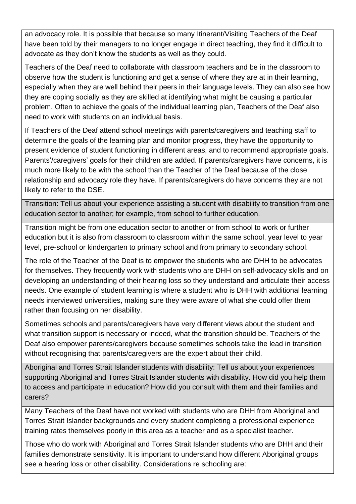an advocacy role. It is possible that because so many Itinerant/Visiting Teachers of the Deaf have been told by their managers to no longer engage in direct teaching, they find it difficult to advocate as they don't know the students as well as they could.

Teachers of the Deaf need to collaborate with classroom teachers and be in the classroom to observe how the student is functioning and get a sense of where they are at in their learning, especially when they are well behind their peers in their language levels. They can also see how they are coping socially as they are skilled at identifying what might be causing a particular problem. Often to achieve the goals of the individual learning plan, Teachers of the Deaf also need to work with students on an individual basis.

If Teachers of the Deaf attend school meetings with parents/caregivers and teaching staff to determine the goals of the learning plan and monitor progress, they have the opportunity to present evidence of student functioning in different areas, and to recommend appropriate goals. Parents'/caregivers' goals for their children are added. If parents/caregivers have concerns, it is much more likely to be with the school than the Teacher of the Deaf because of the close relationship and advocacy role they have. If parents/caregivers do have concerns they are not likely to refer to the DSE.

Transition: Tell us about your experience assisting a student with disability to transition from one education sector to another; for example, from school to further education.

Transition might be from one education sector to another or from school to work or further education but it is also from classroom to classroom within the same school, year level to year level, pre-school or kindergarten to primary school and from primary to secondary school.

The role of the Teacher of the Deaf is to empower the students who are DHH to be advocates for themselves. They frequently work with students who are DHH on self-advocacy skills and on developing an understanding of their hearing loss so they understand and articulate their access needs. One example of student learning is where a student who is DHH with additional learning needs interviewed universities, making sure they were aware of what she could offer them rather than focusing on her disability.

Sometimes schools and parents/caregivers have very different views about the student and what transition support is necessary or indeed, what the transition should be. Teachers of the Deaf also empower parents/caregivers because sometimes schools take the lead in transition without recognising that parents/caregivers are the expert about their child.

Aboriginal and Torres Strait Islander students with disability: Tell us about your experiences supporting Aboriginal and Torres Strait Islander students with disability. How did you help them to access and participate in education? How did you consult with them and their families and carers?

Many Teachers of the Deaf have not worked with students who are DHH from Aboriginal and Torres Strait Islander backgrounds and every student completing a professional experience training rates themselves poorly in this area as a teacher and as a specialist teacher.

Those who do work with Aboriginal and Torres Strait Islander students who are DHH and their families demonstrate sensitivity. It is important to understand how different Aboriginal groups see a hearing loss or other disability. Considerations re schooling are: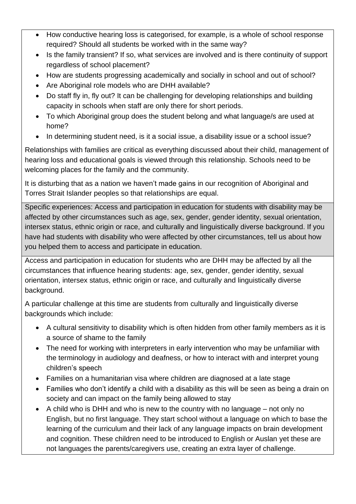- How conductive hearing loss is categorised, for example, is a whole of school response required? Should all students be worked with in the same way?
- Is the family transient? If so, what services are involved and is there continuity of support regardless of school placement?
- How are students progressing academically and socially in school and out of school?
- Are Aboriginal role models who are DHH available?
- Do staff fly in, fly out? It can be challenging for developing relationships and building capacity in schools when staff are only there for short periods.
- To which Aboriginal group does the student belong and what language/s are used at home?
- In determining student need, is it a social issue, a disability issue or a school issue?

Relationships with families are critical as everything discussed about their child, management of hearing loss and educational goals is viewed through this relationship. Schools need to be welcoming places for the family and the community.

It is disturbing that as a nation we haven't made gains in our recognition of Aboriginal and Torres Strait Islander peoples so that relationships are equal.

Specific experiences: Access and participation in education for students with disability may be affected by other circumstances such as age, sex, gender, gender identity, sexual orientation, intersex status, ethnic origin or race, and culturally and linguistically diverse background. If you have had students with disability who were affected by other circumstances, tell us about how you helped them to access and participate in education.

Access and participation in education for students who are DHH may be affected by all the circumstances that influence hearing students: age, sex, gender, gender identity, sexual orientation, intersex status, ethnic origin or race, and culturally and linguistically diverse background.

A particular challenge at this time are students from culturally and linguistically diverse backgrounds which include:

- A cultural sensitivity to disability which is often hidden from other family members as it is a source of shame to the family
- The need for working with interpreters in early intervention who may be unfamiliar with the terminology in audiology and deafness, or how to interact with and interpret young children's speech
- Families on a humanitarian visa where children are diagnosed at a late stage
- Families who don't identify a child with a disability as this will be seen as being a drain on society and can impact on the family being allowed to stay
- A child who is DHH and who is new to the country with no language not only no English, but no first language. They start school without a language on which to base the learning of the curriculum and their lack of any language impacts on brain development and cognition. These children need to be introduced to English or Auslan yet these are not languages the parents/caregivers use, creating an extra layer of challenge.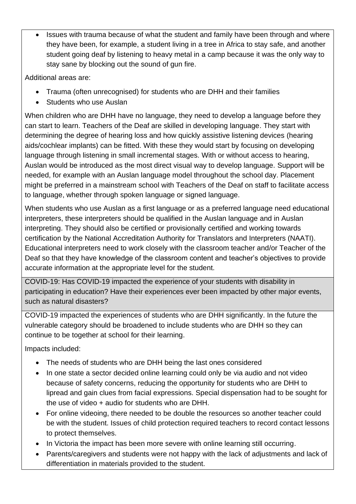• Issues with trauma because of what the student and family have been through and where they have been, for example, a student living in a tree in Africa to stay safe, and another student going deaf by listening to heavy metal in a camp because it was the only way to stay sane by blocking out the sound of gun fire.

Additional areas are:

- Trauma (often unrecognised) for students who are DHH and their families
- Students who use Auslan

When children who are DHH have no language, they need to develop a language before they can start to learn. Teachers of the Deaf are skilled in developing language. They start with determining the degree of hearing loss and how quickly assistive listening devices (hearing aids/cochlear implants) can be fitted. With these they would start by focusing on developing language through listening in small incremental stages. With or without access to hearing, Auslan would be introduced as the most direct visual way to develop language. Support will be needed, for example with an Auslan language model throughout the school day. Placement might be preferred in a mainstream school with Teachers of the Deaf on staff to facilitate access to language, whether through spoken language or signed language.

When students who use Auslan as a first language or as a preferred language need educational interpreters, these interpreters should be qualified in the Auslan language and in Auslan interpreting. They should also be certified or provisionally certified and working towards certification by the National Accreditation Authority for Translators and Interpreters (NAATI). Educational interpreters need to work closely with the classroom teacher and/or Teacher of the Deaf so that they have knowledge of the classroom content and teacher's objectives to provide accurate information at the appropriate level for the student.

COVID-19: Has COVID-19 impacted the experience of your students with disability in participating in education? Have their experiences ever been impacted by other major events, such as natural disasters?

COVID-19 impacted the experiences of students who are DHH significantly. In the future the vulnerable category should be broadened to include students who are DHH so they can continue to be together at school for their learning.

Impacts included:

- The needs of students who are DHH being the last ones considered
- In one state a sector decided online learning could only be via audio and not video because of safety concerns, reducing the opportunity for students who are DHH to lipread and gain clues from facial expressions. Special dispensation had to be sought for the use of video + audio for students who are DHH.
- For online videoing, there needed to be double the resources so another teacher could be with the student. Issues of child protection required teachers to record contact lessons to protect themselves.
- In Victoria the impact has been more severe with online learning still occurring.
- Parents/caregivers and students were not happy with the lack of adjustments and lack of differentiation in materials provided to the student.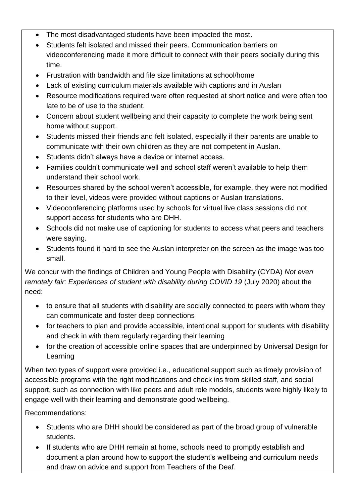- The most disadvantaged students have been impacted the most.
- Students felt isolated and missed their peers. Communication barriers on videoconferencing made it more difficult to connect with their peers socially during this time.
- Frustration with bandwidth and file size limitations at school/home
- Lack of existing curriculum materials available with captions and in Auslan
- Resource modifications required were often requested at short notice and were often too late to be of use to the student.
- Concern about student wellbeing and their capacity to complete the work being sent home without support.
- Students missed their friends and felt isolated, especially if their parents are unable to communicate with their own children as they are not competent in Auslan.
- Students didn't always have a device or internet access.
- Families couldn't communicate well and school staff weren't available to help them understand their school work.
- Resources shared by the school weren't accessible, for example, they were not modified to their level, videos were provided without captions or Auslan translations.
- Videoconferencing platforms used by schools for virtual live class sessions did not support access for students who are DHH.
- Schools did not make use of captioning for students to access what peers and teachers were saying.
- Students found it hard to see the Auslan interpreter on the screen as the image was too small.

We concur with the findings of Children and Young People with Disability (CYDA) *Not even remotely fair: Experiences of student with disability during COVID 19* (July 2020) about the need:

- to ensure that all students with disability are socially connected to peers with whom they can communicate and foster deep connections
- for teachers to plan and provide accessible, intentional support for students with disability and check in with them regularly regarding their learning
- for the creation of accessible online spaces that are underpinned by Universal Design for Learning

When two types of support were provided i.e., educational support such as timely provision of accessible programs with the right modifications and check ins from skilled staff, and social support, such as connection with like peers and adult role models, students were highly likely to engage well with their learning and demonstrate good wellbeing.

Recommendations:

- Students who are DHH should be considered as part of the broad group of vulnerable students.
- If students who are DHH remain at home, schools need to promptly establish and document a plan around how to support the student's wellbeing and curriculum needs and draw on advice and support from Teachers of the Deaf.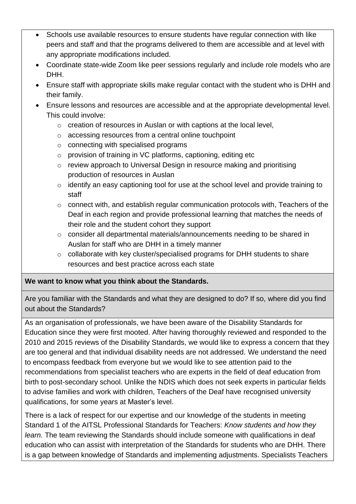- Schools use available resources to ensure students have regular connection with like peers and staff and that the programs delivered to them are accessible and at level with any appropriate modifications included.
- Coordinate state-wide Zoom like peer sessions regularly and include role models who are DHH.
- Ensure staff with appropriate skills make regular contact with the student who is DHH and their family.
- Ensure lessons and resources are accessible and at the appropriate developmental level. This could involve:
	- o creation of resources in Auslan or with captions at the local level,
	- o accessing resources from a central online touchpoint
	- $\circ$  connecting with specialised programs
	- o provision of training in VC platforms, captioning, editing etc
	- o review approach to Universal Design in resource making and prioritising production of resources in Auslan
	- o identify an easy captioning tool for use at the school level and provide training to staff
	- o connect with, and establish regular communication protocols with, Teachers of the Deaf in each region and provide professional learning that matches the needs of their role and the student cohort they support
	- o consider all departmental materials/announcements needing to be shared in Auslan for staff who are DHH in a timely manner
	- o collaborate with key cluster/specialised programs for DHH students to share resources and best practice across each state

# **We want to know what you think about the Standards.**

Are you familiar with the Standards and what they are designed to do? If so, where did you find out about the Standards?

As an organisation of professionals, we have been aware of the Disability Standards for Education since they were first mooted. After having thoroughly reviewed and responded to the 2010 and 2015 reviews of the Disability Standards, we would like to express a concern that they are too general and that individual disability needs are not addressed. We understand the need to encompass feedback from everyone but we would like to see attention paid to the recommendations from specialist teachers who are experts in the field of deaf education from birth to post-secondary school. Unlike the NDIS which does not seek experts in particular fields to advise families and work with children, Teachers of the Deaf have recognised university qualifications, for some years at Master's level.

There is a lack of respect for our expertise and our knowledge of the students in meeting Standard 1 of the AITSL Professional Standards for Teachers: *Know students and how they learn.* The team reviewing the Standards should include someone with qualifications in deaf education who can assist with interpretation of the Standards for students who are DHH. There is a gap between knowledge of Standards and implementing adjustments. Specialists Teachers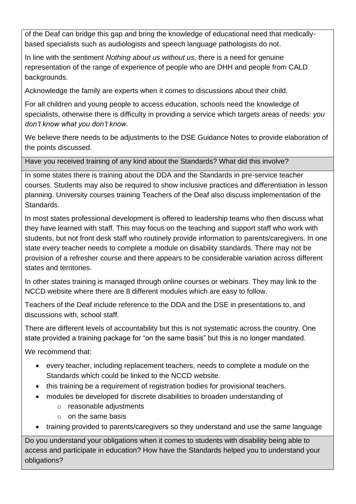of the Deaf can bridge this gap and bring the knowledge of educational need that medicallybased specialists such as audiologists and speech language pathologists do not.

In line with the sentiment *Nothing about us without us,* there is a need for genuine representation of the range of experience of people who are DHH and people from CALD backgrounds.

Acknowledge the family are experts when it comes to discussions about their child.

For all children and young people to access education, schools need the knowledge of specialists, otherwise there is difficulty in providing a service which targets areas of needs: *you don't know what you don't know.*

We believe there needs to be adjustments to the DSE Guidance Notes to provide elaboration of the points discussed.

Have you received training of any kind about the Standards? What did this involve?

In some states there is training about the DDA and the Standards in pre-service teacher courses. Students may also be required to show inclusive practices and differentiation in lesson planning. University courses training Teachers of the Deaf also discuss implementation of the Standards.

In most states professional development is offered to leadership teams who then discuss what they have learned with staff. This may focus on the teaching and support staff who work with students, but not front desk staff who routinely provide information to parents/caregivers. In one state every teacher needs to complete a module on disability standards. There may not be provision of a refresher course and there appears to be considerable variation across different states and territories.

In other states training is managed through online courses or webinars. They may link to the NCCD website where there are 8 different modules which are easy to follow.

Teachers of the Deaf include reference to the DDA and the DSE in presentations to, and discussions with, school staff.

There are different levels of accountability but this is not systematic across the country. One state provided a training package for "on the same basis" but this is no longer mandated.

We recommend that:

- every teacher, including replacement teachers, needs to complete a module on the Standards which could be linked to the NCCD website.
- this training be a requirement of registration bodies for provisional teachers.
- modules be developed for discrete disabilities to broaden understanding of
	- o reasonable adjustments
	- $\circ$  on the same basis
- training provided to parents/caregivers so they understand and use the same language

Do you understand your obligations when it comes to students with disability being able to access and participate in education? How have the Standards helped you to understand your obligations?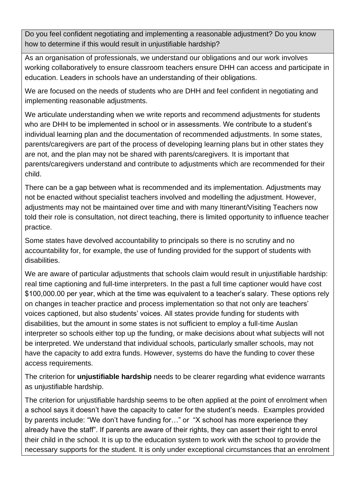Do you feel confident negotiating and implementing a reasonable adjustment? Do you know how to determine if this would result in uniustifiable hardship?

As an organisation of professionals, we understand our obligations and our work involves working collaboratively to ensure classroom teachers ensure DHH can access and participate in education. Leaders in schools have an understanding of their obligations.

We are focused on the needs of students who are DHH and feel confident in negotiating and implementing reasonable adjustments.

We articulate understanding when we write reports and recommend adjustments for students who are DHH to be implemented in school or in assessments. We contribute to a student's individual learning plan and the documentation of recommended adjustments. In some states, parents/caregivers are part of the process of developing learning plans but in other states they are not, and the plan may not be shared with parents/caregivers. It is important that parents/caregivers understand and contribute to adjustments which are recommended for their child.

There can be a gap between what is recommended and its implementation. Adjustments may not be enacted without specialist teachers involved and modelling the adjustment. However, adjustments may not be maintained over time and with many Itinerant/Visiting Teachers now told their role is consultation, not direct teaching, there is limited opportunity to influence teacher practice.

Some states have devolved accountability to principals so there is no scrutiny and no accountability for, for example, the use of funding provided for the support of students with disabilities.

We are aware of particular adjustments that schools claim would result in unjustifiable hardship: real time captioning and full-time interpreters. In the past a full time captioner would have cost \$100,000.00 per year, which at the time was equivalent to a teacher's salary. These options rely on changes in teacher practice and process implementation so that not only are teachers' voices captioned, but also students' voices. All states provide funding for students with disabilities, but the amount in some states is not sufficient to employ a full-time Auslan interpreter so schools either top up the funding, or make decisions about what subjects will not be interpreted. We understand that individual schools, particularly smaller schools, may not have the capacity to add extra funds. However, systems do have the funding to cover these access requirements.

The criterion for **unjustifiable hardship** needs to be clearer regarding what evidence warrants as unjustifiable hardship.

The criterion for unjustifiable hardship seems to be often applied at the point of enrolment when a school says it doesn't have the capacity to cater for the student's needs. Examples provided by parents include: "We don't have funding for…" or "X school has more experience they already have the staff". If parents are aware of their rights, they can assert their right to enrol their child in the school. It is up to the education system to work with the school to provide the necessary supports for the student. It is only under exceptional circumstances that an enrolment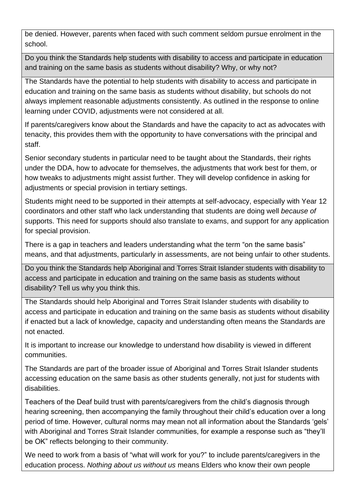be denied. However, parents when faced with such comment seldom pursue enrolment in the school.

Do you think the Standards help students with disability to access and participate in education and training on the same basis as students without disability? Why, or why not?

The Standards have the potential to help students with disability to access and participate in education and training on the same basis as students without disability, but schools do not always implement reasonable adjustments consistently. As outlined in the response to online learning under COVID, adjustments were not considered at all.

If parents/caregivers know about the Standards and have the capacity to act as advocates with tenacity, this provides them with the opportunity to have conversations with the principal and staff.

Senior secondary students in particular need to be taught about the Standards, their rights under the DDA, how to advocate for themselves, the adjustments that work best for them, or how tweaks to adjustments might assist further. They will develop confidence in asking for adjustments or special provision in tertiary settings.

Students might need to be supported in their attempts at self-advocacy, especially with Year 12 coordinators and other staff who lack understanding that students are doing well *because of* supports. This need for supports should also translate to exams, and support for any application for special provision.

There is a gap in teachers and leaders understanding what the term "on the same basis" means, and that adjustments, particularly in assessments, are not being unfair to other students.

Do you think the Standards help Aboriginal and Torres Strait Islander students with disability to access and participate in education and training on the same basis as students without disability? Tell us why you think this.

The Standards should help Aboriginal and Torres Strait Islander students with disability to access and participate in education and training on the same basis as students without disability if enacted but a lack of knowledge, capacity and understanding often means the Standards are not enacted.

It is important to increase our knowledge to understand how disability is viewed in different communities.

The Standards are part of the broader issue of Aboriginal and Torres Strait Islander students accessing education on the same basis as other students generally, not just for students with disabilities.

Teachers of the Deaf build trust with parents/caregivers from the child's diagnosis through hearing screening, then accompanying the family throughout their child's education over a long period of time. However, cultural norms may mean not all information about the Standards 'gels' with Aboriginal and Torres Strait Islander communities, for example a response such as "they'll be OK" reflects belonging to their community.

We need to work from a basis of "what will work for you?" to include parents/caregivers in the education process. *Nothing about us without us* means Elders who know their own people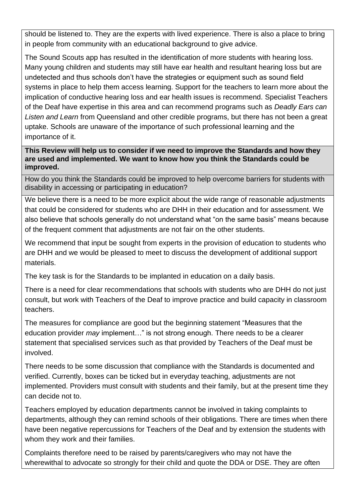should be listened to. They are the experts with lived experience. There is also a place to bring in people from community with an educational background to give advice.

The Sound Scouts app has resulted in the identification of more students with hearing loss. Many young children and students may still have ear health and resultant hearing loss but are undetected and thus schools don't have the strategies or equipment such as sound field systems in place to help them access learning. Support for the teachers to learn more about the implication of conductive hearing loss and ear health issues is recommend. Specialist Teachers of the Deaf have expertise in this area and can recommend programs such as *Deadly Ears can Listen and Learn* from Queensland and other credible programs, but there has not been a great uptake. Schools are unaware of the importance of such professional learning and the importance of it.

**This Review will help us to consider if we need to improve the Standards and how they are used and implemented. We want to know how you think the Standards could be improved.**

How do you think the Standards could be improved to help overcome barriers for students with disability in accessing or participating in education?

We believe there is a need to be more explicit about the wide range of reasonable adjustments that could be considered for students who are DHH in their education and for assessment. We also believe that schools generally do not understand what "on the same basis" means because of the frequent comment that adjustments are not fair on the other students.

We recommend that input be sought from experts in the provision of education to students who are DHH and we would be pleased to meet to discuss the development of additional support materials.

The key task is for the Standards to be implanted in education on a daily basis.

There is a need for clear recommendations that schools with students who are DHH do not just consult, but work with Teachers of the Deaf to improve practice and build capacity in classroom teachers.

The measures for compliance are good but the beginning statement "Measures that the education provider *may* implement…" is not strong enough. There needs to be a clearer statement that specialised services such as that provided by Teachers of the Deaf must be involved.

There needs to be some discussion that compliance with the Standards is documented and verified. Currently, boxes can be ticked but in everyday teaching, adjustments are not implemented. Providers must consult with students and their family, but at the present time they can decide not to.

Teachers employed by education departments cannot be involved in taking complaints to departments, although they can remind schools of their obligations. There are times when there have been negative repercussions for Teachers of the Deaf and by extension the students with whom they work and their families.

Complaints therefore need to be raised by parents/caregivers who may not have the wherewithal to advocate so strongly for their child and quote the DDA or DSE. They are often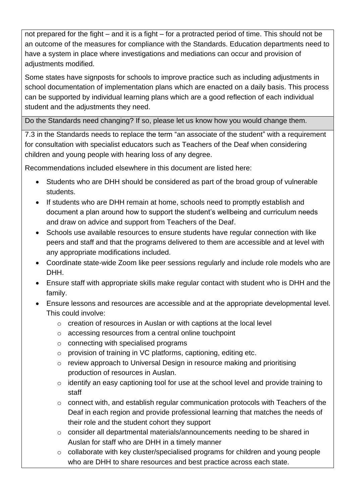not prepared for the fight – and it is a fight – for a protracted period of time. This should not be an outcome of the measures for compliance with the Standards. Education departments need to have a system in place where investigations and mediations can occur and provision of adjustments modified.

Some states have signposts for schools to improve practice such as including adjustments in school documentation of implementation plans which are enacted on a daily basis. This process can be supported by individual learning plans which are a good reflection of each individual student and the adjustments they need.

Do the Standards need changing? If so, please let us know how you would change them.

7.3 in the Standards needs to replace the term "an associate of the student" with a requirement for consultation with specialist educators such as Teachers of the Deaf when considering children and young people with hearing loss of any degree.

Recommendations included elsewhere in this document are listed here:

- Students who are DHH should be considered as part of the broad group of vulnerable students.
- If students who are DHH remain at home, schools need to promptly establish and document a plan around how to support the student's wellbeing and curriculum needs and draw on advice and support from Teachers of the Deaf.
- Schools use available resources to ensure students have regular connection with like peers and staff and that the programs delivered to them are accessible and at level with any appropriate modifications included.
- Coordinate state-wide Zoom like peer sessions regularly and include role models who are DHH.
- Ensure staff with appropriate skills make regular contact with student who is DHH and the family.
- Ensure lessons and resources are accessible and at the appropriate developmental level. This could involve:
	- o creation of resources in Auslan or with captions at the local level
	- o accessing resources from a central online touchpoint
	- o connecting with specialised programs
	- o provision of training in VC platforms, captioning, editing etc.
	- o review approach to Universal Design in resource making and prioritising production of resources in Auslan.
	- o identify an easy captioning tool for use at the school level and provide training to staff
	- o connect with, and establish regular communication protocols with Teachers of the Deaf in each region and provide professional learning that matches the needs of their role and the student cohort they support
	- o consider all departmental materials/announcements needing to be shared in Auslan for staff who are DHH in a timely manner
	- o collaborate with key cluster/specialised programs for children and young people who are DHH to share resources and best practice across each state.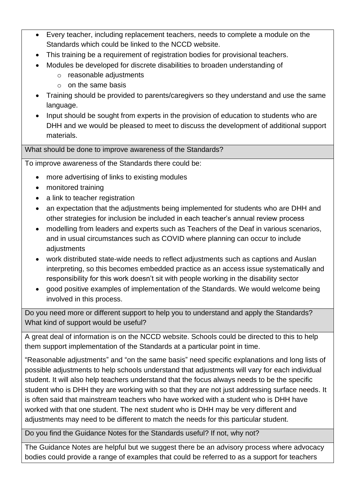- Every teacher, including replacement teachers, needs to complete a module on the Standards which could be linked to the NCCD website.
- This training be a requirement of registration bodies for provisional teachers.
- Modules be developed for discrete disabilities to broaden understanding of
	- o reasonable adjustments
	- o on the same basis
- Training should be provided to parents/caregivers so they understand and use the same language.
- Input should be sought from experts in the provision of education to students who are DHH and we would be pleased to meet to discuss the development of additional support materials.

#### What should be done to improve awareness of the Standards?

To improve awareness of the Standards there could be:

- more advertising of links to existing modules
- monitored training
- a link to teacher registration
- an expectation that the adjustments being implemented for students who are DHH and other strategies for inclusion be included in each teacher's annual review process
- modelling from leaders and experts such as Teachers of the Deaf in various scenarios, and in usual circumstances such as COVID where planning can occur to include adiustments
- work distributed state-wide needs to reflect adjustments such as captions and Auslan interpreting, so this becomes embedded practice as an access issue systematically and responsibility for this work doesn't sit with people working in the disability sector
- good positive examples of implementation of the Standards. We would welcome being involved in this process.

Do you need more or different support to help you to understand and apply the Standards? What kind of support would be useful?

A great deal of information is on the NCCD website. Schools could be directed to this to help them support implementation of the Standards at a particular point in time.

"Reasonable adjustments" and "on the same basis" need specific explanations and long lists of possible adjustments to help schools understand that adjustments will vary for each individual student. It will also help teachers understand that the focus always needs to be the specific student who is DHH they are working with so that they are not just addressing surface needs. It is often said that mainstream teachers who have worked with a student who is DHH have worked with that one student. The next student who is DHH may be very different and adjustments may need to be different to match the needs for this particular student.

Do you find the Guidance Notes for the Standards useful? If not, why not?

The Guidance Notes are helpful but we suggest there be an advisory process where advocacy bodies could provide a range of examples that could be referred to as a support for teachers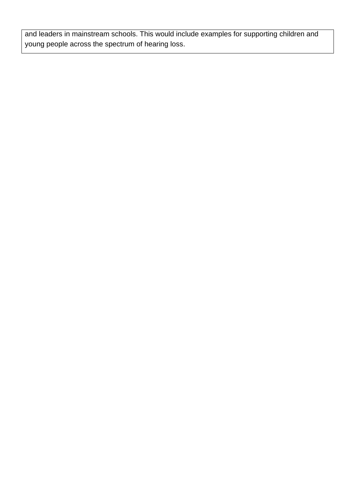and leaders in mainstream schools. This would include examples for supporting children and young people across the spectrum of hearing loss.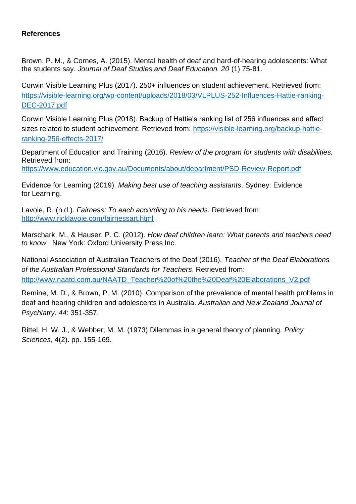#### **References**

Brown, P. M., & Cornes, A. (2015). Mental health of deaf and hard-of-hearing adolescents: What the students say. *Journal of Deaf Studies and Deaf Education. 20* (1) 75-81.

Corwin Visible Learning Plus (2017). 250+ influences on student achievement. Retrieved from: [https://visible-learning.org/wp-content/uploads/2018/03/VLPLUS-252-Influences-Hattie-ranking-](https://visible-learning.org/wp-content/uploads/2018/03/VLPLUS-252-Influences-Hattie-ranking-DEC-2017.pdf)[DEC-2017.pdf](https://visible-learning.org/wp-content/uploads/2018/03/VLPLUS-252-Influences-Hattie-ranking-DEC-2017.pdf)

Corwin Visible Learning Plus (2018). Backup of Hattie's ranking list of 256 influences and effect sizes related to student achievement. Retrieved from: [https://visible-learning.org/backup-hattie](https://visible-learning.org/backup-hattie-ranking-256-effects-2017/)[ranking-256-effects-2017/](https://visible-learning.org/backup-hattie-ranking-256-effects-2017/)

Department of Education and Training (2016). *Review of the program for students with disabilities.* Retrieved from:

<https://www.education.vic.gov.au/Documents/about/department/PSD-Review-Report.pdf>

Evidence for Learning (2019). *Making best use of teaching assistants*. Sydney: Evidence for Learning.

Lavoie, R. (n.d.). *Fairness: To each according to his needs.* Retrieved from: <http://www.ricklavoie.com/fairnessart.html>

Marschark, M., & Hauser, P. C. (2012). *How deaf children learn: What parents and teachers need to know.* New York: Oxford University Press Inc.

National Association of Australian Teachers of the Deaf (2016). *Teacher of the Deaf Elaborations of the Australian Professional Standards for Teachers*. Retrieved from: [http://www.naatd.com.au/NAATD\\_Teacher%20of%20the%20Deaf%20Elaborations\\_V2.pdf](http://www.naatd.com.au/NAATD_Teacher%20of%20the%20Deaf%20Elaborations_V2.pdf)

Remine, M. D., & Brown, P. M. (2010). Comparison of the prevalence of mental health problems in deaf and hearing children and adolescents in Australia. *Australian and New Zealand Journal of Psychiatry. 44*: 351-357.

Rittel, H. W. J., & Webber, M. M. (1973) Dilemmas in a general theory of planning. *Policy Sciences,* 4(2). pp. 155-169.